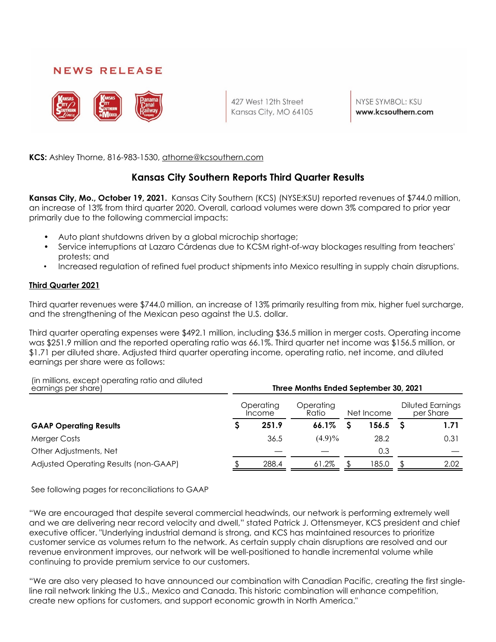## **NEWS RELEASE**



427 West 12th Street Kansas City, MO 64105 NYSE SYMBOL: KSU www.kcsouthern.com

**Three Months Ended September 30, 2021** 

**KCS:** Ashley Thorne, 816-983-1530, athorne@kcsouthern.com

# **Kansas City Southern Reports Third Quarter Results**

**Kansas City, Mo., October 19, 2021.** Kansas City Southern (KCS) (NYSE:KSU) reported revenues of \$744.0 million, an increase of 13% from third quarter 2020. Overall, carload volumes were down 3% compared to prior year primarily due to the following commercial impacts:

- Auto plant shutdowns driven by a global microchip shortage;
- Service interruptions at Lazaro Cárdenas due to KCSM right-of-way blockages resulting from teachers' protests; and
- Increased regulation of refined fuel product shipments into Mexico resulting in supply chain disruptions.

## **Third Quarter 2021**

Third quarter revenues were \$744.0 million, an increase of 13% primarily resulting from mix, higher fuel surcharge, and the strengthening of the Mexican peso against the U.S. dollar.

Third quarter operating expenses were \$492.1 million, including \$36.5 million in merger costs. Operating income was \$251.9 million and the reported operating ratio was 66.1%. Third quarter net income was \$156.5 million, or \$1.71 per diluted share. Adjusted third quarter operating income, operating ratio, net income, and diluted earnings per share were as follows:

(in millions, except operating ratio and diluted

|  |       | Operating<br>Ratio  |  |       | Diluted Earnings<br>per Share |      |  |  |  |  |
|--|-------|---------------------|--|-------|-------------------------------|------|--|--|--|--|
|  | 251.9 | 66.1%               |  | 156.5 |                               | 1.71 |  |  |  |  |
|  | 36.5  | $(4.9)\%$           |  | 28.2  |                               | 0.31 |  |  |  |  |
|  |       |                     |  | 0.3   |                               |      |  |  |  |  |
|  | 288.4 | 61.2%               |  | 185.0 |                               | 2.02 |  |  |  |  |
|  |       | Operating<br>Income |  |       | Net Income                    |      |  |  |  |  |

See following pages for reconciliations to GAAP

"We are encouraged that despite several commercial headwinds, our network is performing extremely well and we are delivering near record velocity and dwell," stated Patrick J. Ottensmeyer, KCS president and chief executive officer. "Underlying industrial demand is strong, and KCS has maintained resources to prioritize customer service as volumes return to the network. As certain supply chain disruptions are resolved and our revenue environment improves, our network will be well-positioned to handle incremental volume while continuing to provide premium service to our customers.

"We are also very pleased to have announced our combination with Canadian Pacific, creating the first singleline rail network linking the U.S., Mexico and Canada. This historic combination will enhance competition, create new options for customers, and support economic growth in North America."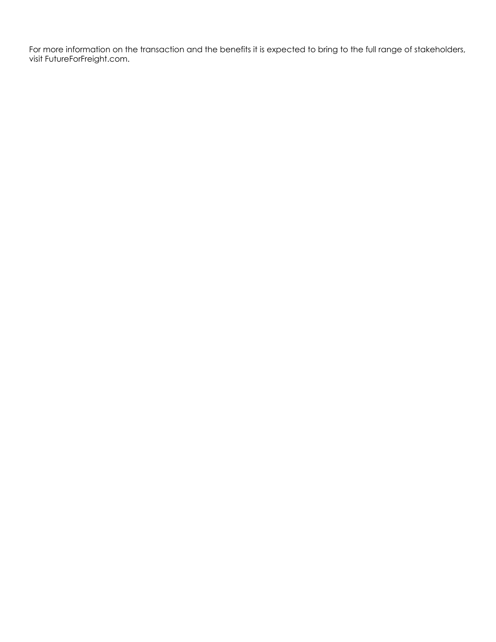For more information on the transaction and the benefits it is expected to bring to the full range of stakeholders, visit FutureForFreight.com.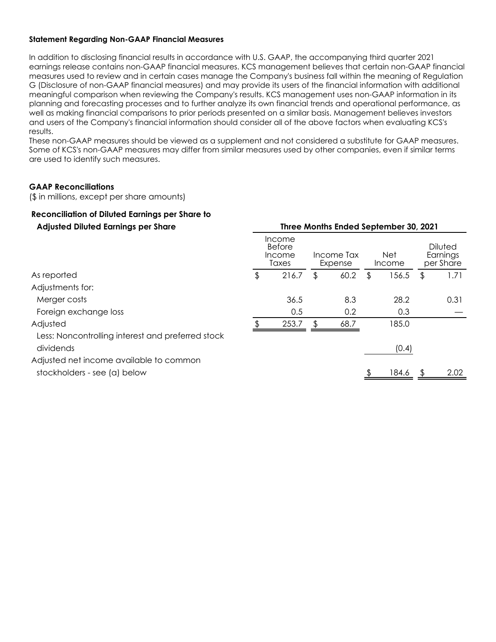### **Statement Regarding Non-GAAP Financial Measures**

In addition to disclosing financial results in accordance with U.S. GAAP, the accompanying third quarter 2021 earnings release contains non-GAAP financial measures. KCS management believes that certain non-GAAP financial measures used to review and in certain cases manage the Company's business fall within the meaning of Regulation G (Disclosure of non-GAAP financial measures) and may provide its users of the financial information with additional meaningful comparison when reviewing the Company's results. KCS management uses non-GAAP information in its planning and forecasting processes and to further analyze its own financial trends and operational performance, as well as making financial comparisons to prior periods presented on a similar basis. Management believes investors and users of the Company's financial information should consider all of the above factors when evaluating KCS's results.

These non-GAAP measures should be viewed as a supplement and not considered a substitute for GAAP measures. Some of KCS's non-GAAP measures may differ from similar measures used by other companies, even if similar terms are used to identify such measures.

## **GAAP Reconciliations**

(\$ in millions, except per share amounts)

## **Reconciliation of Diluted Earnings per Share to Adjusted Diluted Earnings per Share Three Months Ended September 30, 2021**

| Adjosied Diibled Lahilings per share              | <u>THEE MONNS LINED SEDIENIDEL SU, ZUZ I</u> |                                     |    |                       |    |               |    |                                         |  |  |
|---------------------------------------------------|----------------------------------------------|-------------------------------------|----|-----------------------|----|---------------|----|-----------------------------------------|--|--|
|                                                   |                                              | Income<br>Before<br>Income<br>Taxes |    | Income Tax<br>Expense |    | Net<br>Income |    | <b>Diluted</b><br>Earnings<br>per Share |  |  |
| As reported                                       | \$                                           | 216.7                               | \$ | 60.2                  | \$ | 156.5         | \$ | 1.71                                    |  |  |
| Adjustments for:                                  |                                              |                                     |    |                       |    |               |    |                                         |  |  |
| Merger costs                                      |                                              | 36.5                                |    | 8.3                   |    | 28.2          |    | 0.31                                    |  |  |
| Foreign exchange loss                             |                                              | 0.5                                 |    | 0.2                   |    | 0.3           |    |                                         |  |  |
| Adjusted                                          |                                              | 253.7                               |    | 68.7                  |    | 185.0         |    |                                         |  |  |
| Less: Noncontrolling interest and preferred stock |                                              |                                     |    |                       |    |               |    |                                         |  |  |
| dividends                                         |                                              |                                     |    |                       |    | (0.4)         |    |                                         |  |  |
| Adjusted net income available to common           |                                              |                                     |    |                       |    |               |    |                                         |  |  |
| stockholders - see (a) below                      |                                              |                                     |    |                       |    | 184.6         |    | 2.02                                    |  |  |
|                                                   |                                              |                                     |    |                       |    |               |    |                                         |  |  |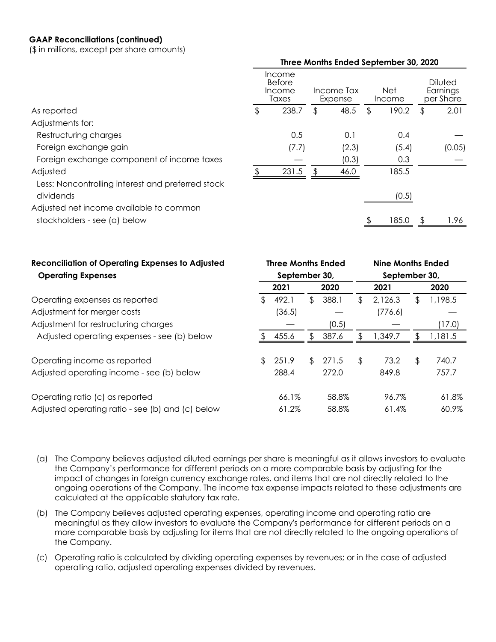## **GAAP Reconciliations (continued)**

(\$ in millions, except per share amounts)

|                                                   | Three Months Ended September 30, 2020 |                                            |    |                       |    |               |    |                                  |  |  |
|---------------------------------------------------|---------------------------------------|--------------------------------------------|----|-----------------------|----|---------------|----|----------------------------------|--|--|
|                                                   |                                       | Income<br><b>Before</b><br>Income<br>Taxes |    | Income Tax<br>Expense |    | Net<br>Income |    | Diluted<br>Earnings<br>per Share |  |  |
| As reported                                       | \$                                    | 238.7                                      | \$ | 48.5                  | \$ | 190.2         | \$ | 2.01                             |  |  |
| Adjustments for:                                  |                                       |                                            |    |                       |    |               |    |                                  |  |  |
| Restructuring charges                             |                                       | 0.5                                        |    | 0.1                   |    | 0.4           |    |                                  |  |  |
| Foreign exchange gain                             |                                       | (7.7)                                      |    | (2.3)                 |    | (5.4)         |    | (0.05)                           |  |  |
| Foreign exchange component of income taxes        |                                       |                                            |    | (0.3)                 |    | 0.3           |    |                                  |  |  |
| Adjusted                                          |                                       | 231.5                                      |    | 46.0                  |    | 185.5         |    |                                  |  |  |
| Less: Noncontrolling interest and preferred stock |                                       |                                            |    |                       |    |               |    |                                  |  |  |
| dividends                                         |                                       |                                            |    |                       |    | (0.5)         |    |                                  |  |  |
| Adjusted net income available to common           |                                       |                                            |    |                       |    |               |    |                                  |  |  |
| stockholders - see (a) below                      |                                       |                                            |    |                       |    | 185.0         | \$ | 1.96                             |  |  |
|                                                   |                                       |                                            |    |                       |    |               |    |                                  |  |  |

| <b>Reconciliation of Operating Expenses to Adjusted</b> |              | <b>Three Months Ended</b> |      | <b>Nine Months Ended</b> |               |         |      |         |  |  |
|---------------------------------------------------------|--------------|---------------------------|------|--------------------------|---------------|---------|------|---------|--|--|
| <b>Operating Expenses</b>                               |              | September 30,             |      |                          | September 30, |         |      |         |  |  |
|                                                         | 2021         |                           | 2020 |                          |               | 2021    | 2020 |         |  |  |
| Operating expenses as reported                          | \$           | 492.1                     | \$   | 388.1                    | \$            | 2,126.3 | \$   | 1,198.5 |  |  |
| Adjustment for merger costs                             |              | (36.5)                    |      |                          |               | (776.6) |      |         |  |  |
| Adjustment for restructuring charges                    |              |                           |      | (0.5)                    |               |         |      | (17.0)  |  |  |
| Adjusted operating expenses - see (b) below             |              | 455.6                     | \$   | 387.6                    |               | 1,349.7 | S    | 1,181.5 |  |  |
|                                                         |              |                           |      |                          |               |         |      |         |  |  |
| Operating income as reported                            | $\mathbb{S}$ | 251.9                     | \$   | 271.5                    | \$            | 73.2    | \$   | 740.7   |  |  |
| Adjusted operating income - see (b) below               |              | 288.4                     |      | 272.0                    |               | 849.8   |      | 757.7   |  |  |
| Operating ratio (c) as reported                         |              | 66.1%                     |      | 58.8%                    |               | 96.7%   |      | 61.8%   |  |  |
| Adjusted operating ratio - see (b) and (c) below        |              | $61.2\%$                  |      | 58.8%                    |               | 61.4%   |      | 60.9%   |  |  |

- (a) The Company believes adjusted diluted earnings per share is meaningful as it allows investors to evaluate the Company's performance for different periods on a more comparable basis by adjusting for the impact of changes in foreign currency exchange rates, and items that are not directly related to the ongoing operations of the Company. The income tax expense impacts related to these adjustments are calculated at the applicable statutory tax rate.
- (b) The Company believes adjusted operating expenses, operating income and operating ratio are meaningful as they allow investors to evaluate the Company's performance for different periods on a more comparable basis by adjusting for items that are not directly related to the ongoing operations of the Company.
- (c) Operating ratio is calculated by dividing operating expenses by revenues; or in the case of adjusted operating ratio, adjusted operating expenses divided by revenues.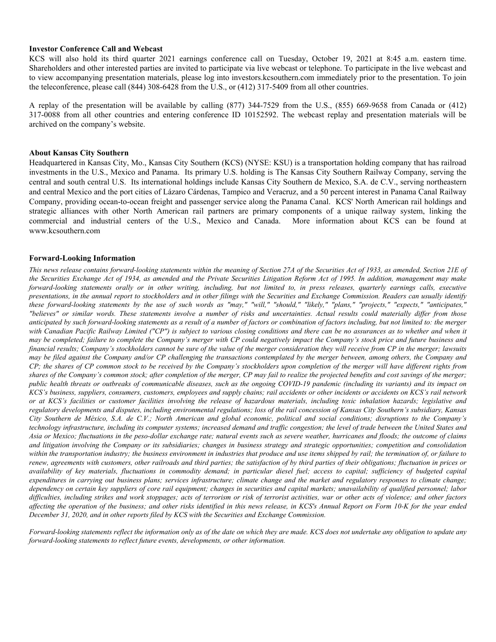#### **Investor Conference Call and Webcast**

KCS will also hold its third quarter 2021 earnings conference call on Tuesday, October 19, 2021 at 8:45 a.m. eastern time. Shareholders and other interested parties are invited to participate via live webcast or telephone. To participate in the live webcast and to view accompanying presentation materials, please log into investors.kcsouthern.com immediately prior to the presentation. To join the teleconference, please call (844) 308-6428 from the U.S., or (412) 317-5409 from all other countries.

A replay of the presentation will be available by calling (877) 344-7529 from the U.S., (855) 669-9658 from Canada or (412) 317-0088 from all other countries and entering conference ID 10152592. The webcast replay and presentation materials will be archived on the company's website.

#### **About Kansas City Southern**

Headquartered in Kansas City, Mo., Kansas City Southern (KCS) (NYSE: KSU) is a transportation holding company that has railroad investments in the U.S., Mexico and Panama. Its primary U.S. holding is The Kansas City Southern Railway Company, serving the central and south central U.S. Its international holdings include Kansas City Southern de Mexico, S.A. de C.V., serving northeastern and central Mexico and the port cities of Lázaro Cárdenas, Tampico and Veracruz, and a 50 percent interest in Panama Canal Railway Company, providing ocean-to-ocean freight and passenger service along the Panama Canal. KCS' North American rail holdings and strategic alliances with other North American rail partners are primary components of a unique railway system, linking the commercial and industrial centers of the U.S., Mexico and Canada. More information about KCS can be found at www.kcsouthern.com

#### **Forward-Looking Information**

*This news release contains forward-looking statements within the meaning of Section 27A of the Securities Act of 1933, as amended, Section 21E of the Securities Exchange Act of 1934, as amended and the Private Securities Litigation Reform Act of 1995. In addition, management may make forward-looking statements orally or in other writing, including, but not limited to, in press releases, quarterly earnings calls, executive presentations, in the annual report to stockholders and in other filings with the Securities and Exchange Commission. Readers can usually identify these forward-looking statements by the use of such words as "may," "will," "should," "likely," "plans," "projects," "expects," "anticipates," "believes" or similar words. These statements involve a number of risks and uncertainties. Actual results could materially differ from those anticipated by such forward-looking statements as a result of a number of factors or combination of factors including, but not limited to: the merger with Canadian Pacific Railway Limited ("CP") is subject to various closing conditions and there can be no assurances as to whether and when it may be completed; failure to complete the Company's merger with CP could negatively impact the Company's stock price and future business and financial results; Company's stockholders cannot be sure of the value of the merger consideration they will receive from CP in the merger; lawsuits may be filed against the Company and/or CP challenging the transactions contemplated by the merger between, among others, the Company and CP; the shares of CP common stock to be received by the Company's stockholders upon completion of the merger will have different rights from shares of the Company's common stock; after completion of the merger, CP may fail to realize the projected benefits and cost savings of the merger; public health threats or outbreaks of communicable diseases, such as the ongoing COVID-19 pandemic (including its variants) and its impact on KCS's business, suppliers, consumers, customers, employees and supply chains; rail accidents or other incidents or accidents on KCS's rail network or at KCS's facilities or customer facilities involving the release of hazardous materials, including toxic inhalation hazards; legislative and regulatory developments and disputes, including environmental regulations; loss of the rail concession of Kansas City Southern's subsidiary, Kansas City Southern de México, S.A. de C.V.; North American and global economic, political and social conditions; disruptions to the Company's technology infrastructure, including its computer systems; increased demand and traffic congestion; the level of trade between the United States and Asia or Mexico; fluctuations in the peso-dollar exchange rate; natural events such as severe weather, hurricanes and floods; the outcome of claims and litigation involving the Company or its subsidiaries; changes in business strategy and strategic opportunities; competition and consolidation within the transportation industry; the business environment in industries that produce and use items shipped by rail; the termination of, or failure to renew, agreements with customers, other railroads and third parties; the satisfaction of by third parties of their obligations; fluctuation in prices or availability of key materials, fluctuations in commodity demand; in particular diesel fuel; access to capital; sufficiency of budgeted capital expenditures in carrying out business plans; services infrastructure; climate change and the market and regulatory responses to climate change; dependency on certain key suppliers of core rail equipment; changes in securities and capital markets; unavailability of qualified personnel; labor difficulties, including strikes and work stoppages; acts of terrorism or risk of terrorist activities, war or other acts of violence; and other factors affecting the operation of the business; and other risks identified in this news release, in KCS's Annual Report on Form 10-K for the year ended December 31, 2020, and in other reports filed by KCS with the Securities and Exchange Commission.*

*Forward-looking statements reflect the information only as of the date on which they are made. KCS does not undertake any obligation to update any forward-looking statements to reflect future events, developments, or other information.*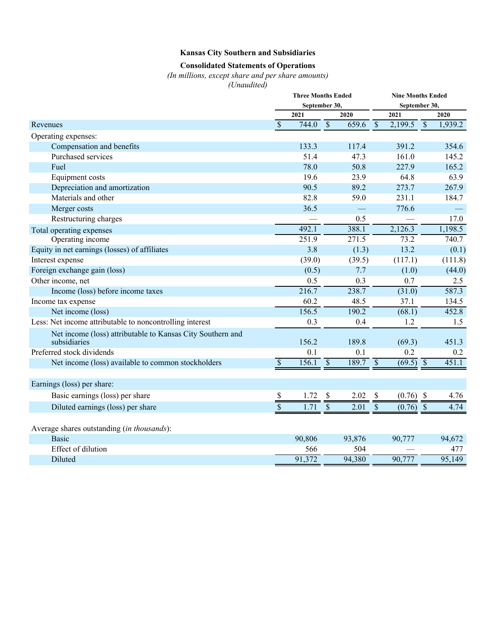## **Kansas City Southern and Subsidiaries**

# **Consolidated Statements of Operations**

*(In millions, except share and per share amounts)*

*(Unaudited)*

|                                                                            | <b>Three Months Ended</b>                 |        |                          |                          |                          | <b>Nine Months Ended</b> |               |         |  |  |
|----------------------------------------------------------------------------|-------------------------------------------|--------|--------------------------|--------------------------|--------------------------|--------------------------|---------------|---------|--|--|
|                                                                            | September 30,                             |        |                          |                          |                          | September 30,            |               |         |  |  |
|                                                                            |                                           | 2021   |                          | 2020                     |                          | 2021                     |               | 2020    |  |  |
| Revenues                                                                   | $\overline{\mathcal{S}}$                  | 744.0  | $\overline{\mathcal{S}}$ | 659.6                    | $\overline{\mathcal{S}}$ | $2,199.5$ \$             |               | 1,939.2 |  |  |
| Operating expenses:                                                        |                                           |        |                          |                          |                          |                          |               |         |  |  |
| Compensation and benefits                                                  |                                           | 133.3  |                          | 117.4                    |                          | 391.2                    |               | 354.6   |  |  |
| Purchased services                                                         |                                           | 51.4   |                          | 47.3                     |                          | 161.0                    |               | 145.2   |  |  |
| Fuel                                                                       |                                           | 78.0   |                          | 50.8                     |                          | 227.9                    |               | 165.2   |  |  |
| Equipment costs                                                            |                                           | 19.6   |                          | 23.9                     |                          | 64.8                     |               | 63.9    |  |  |
| Depreciation and amortization                                              |                                           | 90.5   |                          | 89.2                     |                          | 273.7                    |               | 267.9   |  |  |
| Materials and other                                                        |                                           | 82.8   |                          | 59.0                     |                          | 231.1                    |               | 184.7   |  |  |
| Merger costs                                                               |                                           | 36.5   |                          | $\overline{\phantom{0}}$ |                          | 776.6                    |               |         |  |  |
| Restructuring charges                                                      |                                           |        |                          | 0.5                      |                          |                          |               | 17.0    |  |  |
| Total operating expenses                                                   |                                           | 492.1  |                          | 388.1                    |                          | 2,126.3                  |               | 1,198.5 |  |  |
| Operating income                                                           |                                           | 251.9  |                          | 271.5                    |                          | 73.2                     |               | 740.7   |  |  |
| Equity in net earnings (losses) of affiliates                              |                                           | 3.8    |                          | (1.3)                    |                          | 13.2                     |               | (0.1)   |  |  |
| Interest expense                                                           |                                           | (39.0) |                          | (39.5)                   |                          | (117.1)                  |               | (111.8) |  |  |
| Foreign exchange gain (loss)                                               |                                           | (0.5)  |                          | 7.7                      |                          | (1.0)                    |               | (44.0)  |  |  |
| Other income, net                                                          |                                           | 0.5    |                          | 0.3                      |                          | 0.7                      |               | 2.5     |  |  |
| Income (loss) before income taxes                                          |                                           | 216.7  |                          | 238.7                    |                          | (31.0)                   |               | 587.3   |  |  |
| Income tax expense                                                         |                                           | 60.2   |                          | 48.5                     |                          | 37.1                     |               | 134.5   |  |  |
| Net income (loss)                                                          |                                           | 156.5  |                          | 190.2                    |                          | (68.1)                   |               | 452.8   |  |  |
| Less: Net income attributable to noncontrolling interest                   |                                           | 0.3    |                          | 0.4                      |                          | 1.2                      |               | 1.5     |  |  |
| Net income (loss) attributable to Kansas City Southern and<br>subsidiaries |                                           | 156.2  |                          | 189.8                    |                          | (69.3)                   |               | 451.3   |  |  |
| Preferred stock dividends                                                  |                                           | 0.1    |                          | 0.1                      |                          | 0.2                      |               | 0.2     |  |  |
| Net income (loss) available to common stockholders                         | $\mathcal{S}$                             | 156.1  | $\overline{\mathcal{S}}$ | $189.7$ \$               |                          | $\overline{(69.5)}$ \$   |               | 451.1   |  |  |
| Earnings (loss) per share:                                                 |                                           |        |                          |                          |                          |                          |               |         |  |  |
| Basic earnings (loss) per share                                            |                                           | 1.72   | \$                       | 2.02                     | \$                       | (0.76)                   | $\mathcal{S}$ | 4.76    |  |  |
| Diluted earnings (loss) per share                                          | $\frac{1}{2}$<br>$\overline{\mathcal{S}}$ | 1.71   | $\overline{\mathcal{S}}$ | 2.01                     | $\overline{\mathcal{S}}$ | (0.76)                   | $\mathcal{S}$ | 4.74    |  |  |
|                                                                            |                                           |        |                          |                          |                          |                          |               |         |  |  |
| Average shares outstanding (in thousands):                                 |                                           |        |                          |                          |                          |                          |               |         |  |  |
| <b>Basic</b>                                                               |                                           | 90,806 |                          | 93,876                   |                          | 90,777                   |               | 94,672  |  |  |
| Effect of dilution                                                         |                                           | 566    |                          | 504                      |                          |                          |               | 477     |  |  |
| Diluted                                                                    |                                           | 91,372 |                          | 94,380                   |                          | 90,777                   |               | 95,149  |  |  |
|                                                                            |                                           |        |                          |                          |                          |                          |               |         |  |  |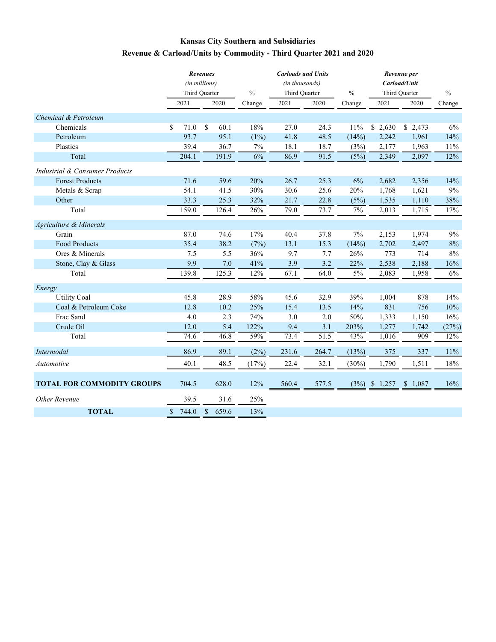# **Kansas City Southern and Subsidiaries Revenue & Carload/Units by Commodity - Third Quarter 2021 and 2020**

|                                   | <b>Revenues</b> |               |       |               | <b>Carloads and Units</b> |       | Revenue per   |                  |               |               |  |  |  |
|-----------------------------------|-----------------|---------------|-------|---------------|---------------------------|-------|---------------|------------------|---------------|---------------|--|--|--|
|                                   |                 | (in millions) |       |               | (in thousands)            |       |               | Carload/Unit     |               |               |  |  |  |
|                                   |                 | Third Quarter |       | $\frac{0}{0}$ | Third Quarter             |       | $\frac{0}{0}$ |                  | Third Quarter | $\frac{0}{0}$ |  |  |  |
|                                   | 2021            |               | 2020  | Change        | 2021                      | 2020  | Change        | 2021             | 2020          | Change        |  |  |  |
| Chemical & Petroleum              |                 |               |       |               |                           |       |               |                  |               |               |  |  |  |
| Chemicals                         | \$<br>71.0      | \$            | 60.1  | 18%           | 27.0                      | 24.3  | 11%           | \$2,630          | 2,473<br>\$   | 6%            |  |  |  |
| Petroleum                         | 93.7            |               | 95.1  | $(1\%)$       | 41.8                      | 48.5  | (14%)         | 2,242            | 1,961         | 14%           |  |  |  |
| Plastics                          | 39.4            |               | 36.7  | $7\%$         | 18.1                      | 18.7  | (3%)          | 2,177            | 1,963         | $11\%$        |  |  |  |
| Total                             | 204.1           |               | 191.9 | 6%            | 86.9                      | 91.5  | (5%)          | 2,349            | 2,097         | 12%           |  |  |  |
| Industrial & Consumer Products    |                 |               |       |               |                           |       |               |                  |               |               |  |  |  |
| <b>Forest Products</b>            | 71.6            |               | 59.6  | 20%           | 26.7                      | 25.3  | $6\%$         | 2,682            | 2,356         | 14%           |  |  |  |
| Metals & Scrap                    | 54.1            |               | 41.5  | 30%           | 30.6                      | 25.6  | 20%           | 1,768            | 1,621         | $9\%$         |  |  |  |
| Other                             | 33.3            |               | 25.3  | 32%           | 21.7                      | 22.8  | (5%)          | 1,535            | 1,110         | 38%           |  |  |  |
| Total                             | 159.0           |               | 126.4 | 26%           | 79.0                      | 73.7  | 7%            | 2,013            | 1,715         | 17%           |  |  |  |
| Agriculture & Minerals            |                 |               |       |               |                           |       |               |                  |               |               |  |  |  |
| Grain                             | 87.0            |               | 74.6  | 17%           | 40.4                      | 37.8  | 7%            | 2,153            | 1,974         | 9%            |  |  |  |
| <b>Food Products</b>              | 35.4            |               | 38.2  | (7%)          | 13.1                      | 15.3  | (14%)         | 2,702            | 2,497         | $8\%$         |  |  |  |
| Ores & Minerals                   | 7.5             |               | 5.5   | 36%           | 9.7                       | 7.7   | 26%           | 773              | 714           | $8\%$         |  |  |  |
| Stone, Clay & Glass               | 9.9             |               | 7.0   | 41%           | 3.9                       | 3.2   | 22%           | 2,538            | 2,188         | 16%           |  |  |  |
| Total                             | 139.8           |               | 125.3 | 12%           | 67.1                      | 64.0  | 5%            | 2,083            | 1,958         | 6%            |  |  |  |
| Energy                            |                 |               |       |               |                           |       |               |                  |               |               |  |  |  |
| <b>Utility Coal</b>               | 45.8            |               | 28.9  | 58%           | 45.6                      | 32.9  | 39%           | 1,004            | 878           | 14%           |  |  |  |
| Coal & Petroleum Coke             | 12.8            |               | 10.2  | 25%           | 15.4                      | 13.5  | 14%           | 831              | 756           | 10%           |  |  |  |
| Frac Sand                         | 4.0             |               | 2.3   | 74%           | 3.0                       | 2.0   | 50%           | 1,333            | 1,150         | 16%           |  |  |  |
| Crude Oil                         | 12.0            |               | 5.4   | 122%          | 9.4                       | 3.1   | 203%          | 1,277            | 1,742         | (27%)         |  |  |  |
| Total                             | 74.6            |               | 46.8  | 59%           | 73.4                      | 51.5  | 43%           | 1,016            | 909           | 12%           |  |  |  |
| <b>Intermodal</b>                 | 86.9            |               | 89.1  | (2%)          | 231.6                     | 264.7 | (13%)         | 375              | 337           | $11\%$        |  |  |  |
| Automotive                        | 40.1            |               | 48.5  | (17%)         | 22.4                      | 32.1  | (30%)         | 1,790            | 1,511         | $18\%$        |  |  |  |
| <b>TOTAL FOR COMMODITY GROUPS</b> | 704.5           |               | 628.0 | 12%           | 560.4                     | 577.5 |               | $(3\%)$ \$ 1,257 | \$1,087       | 16%           |  |  |  |
| Other Revenue                     | 39.5            |               | 31.6  | 25%           |                           |       |               |                  |               |               |  |  |  |
| <b>TOTAL</b>                      | 744.0<br>\$     | \$            | 659.6 | 13%           |                           |       |               |                  |               |               |  |  |  |